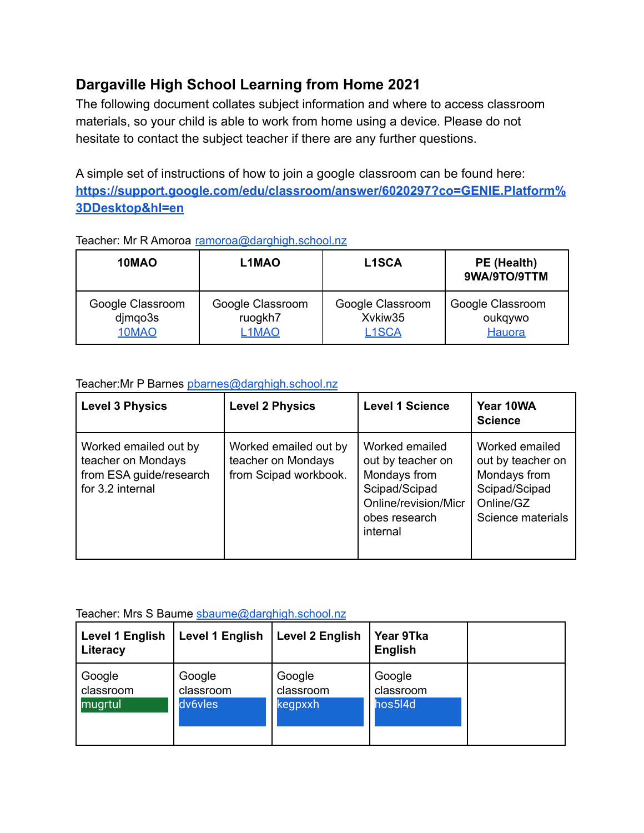# **Dargaville High School Learning from Home 2021**

The following document collates subject information and where to access classroom materials, so your child is able to work from home using a device. Please do not hesitate to contact the subject teacher if there are any further questions.

A simple set of instructions of how to join a google classroom can be found here: **[https://support.google.com/edu/classroom/answer/6020297?co=GENIE.Platform%](https://support.google.com/edu/classroom/answer/6020297?co=GENIE.Platform%3DDesktop&hl=en) [3DDesktop&hl=en](https://support.google.com/edu/classroom/answer/6020297?co=GENIE.Platform%3DDesktop&hl=en)**

| 10MAO                                | L1MAO                                             | <b>L1SCA</b>                                      | PE (Health)<br>9WA/9TO/9TTM           |  |  |
|--------------------------------------|---------------------------------------------------|---------------------------------------------------|---------------------------------------|--|--|
| Google Classroom<br>djmqo3s<br>10MAO | Google Classroom<br>ruogkh7<br>L <sub>1</sub> MAO | Google Classroom<br>Xvkiw35<br>L <sub>1</sub> SCA | Google Classroom<br>oukqywo<br>Hauora |  |  |

### Teacher: Mr R Amoroa [ramoroa@darghigh.school.nz](mailto:ramoroa@darghigh.school.nz)

#### Teacher:Mr P Barnes [pbarnes@darghigh.school.nz](mailto:pbarnes@darghigh.school.nz)

| <b>Level 3 Physics</b>                                                                     | <b>Level 2 Physics</b>                                               | <b>Level 1 Science</b>                                                                                                    | Year 10WA<br><b>Science</b>                                                                            |
|--------------------------------------------------------------------------------------------|----------------------------------------------------------------------|---------------------------------------------------------------------------------------------------------------------------|--------------------------------------------------------------------------------------------------------|
| Worked emailed out by<br>teacher on Mondays<br>from ESA guide/research<br>for 3.2 internal | Worked emailed out by<br>teacher on Mondays<br>from Scipad workbook. | Worked emailed<br>out by teacher on<br>Mondays from<br>Scipad/Scipad<br>Online/revision/Micr<br>obes research<br>internal | Worked emailed<br>out by teacher on<br>Mondays from<br>Scipad/Scipad<br>Online/GZ<br>Science materials |

#### Teacher: Mrs S Baume [sbaume@darghigh.school.nz](mailto:sbaume@darghigh.school.nz)

| <b>Level 1 English</b><br>Literacy | Level 1 English | <b>Level 2 English</b> | Year 9Tka<br><b>English</b> |  |
|------------------------------------|-----------------|------------------------|-----------------------------|--|
| Google                             | Google          | Google                 | Google                      |  |
| classroom                          | classroom       | classroom              | classroom                   |  |
| mugrtul                            | dv6vles         | kegpxxh                | hos5l4d                     |  |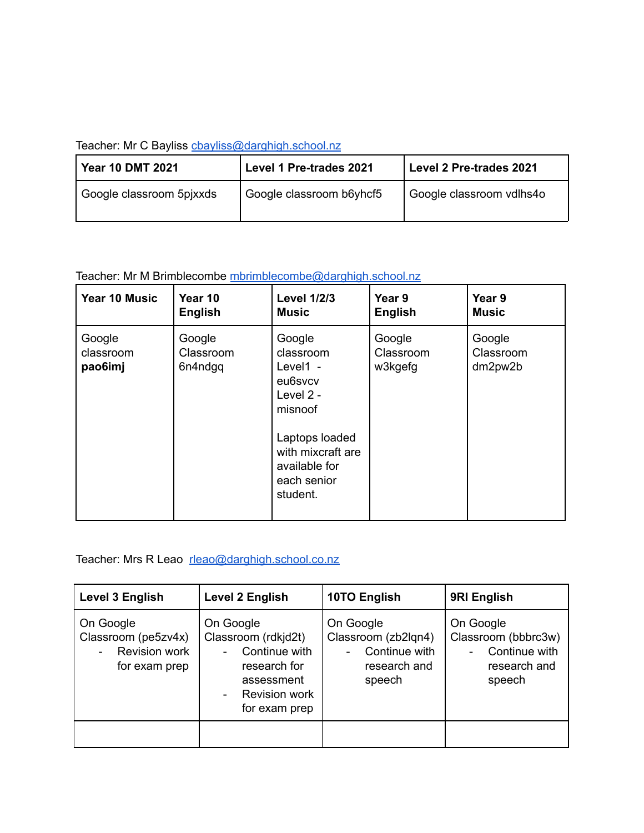### Teacher: Mr C Bayliss chayliss@darghigh.school.nz

| <b>Year 10 DMT 2021</b>  | Level 1 Pre-trades 2021  | Level 2 Pre-trades 2021  |  |
|--------------------------|--------------------------|--------------------------|--|
| Google classroom 5pixxds | Google classroom b6yhcf5 | Google classroom vdlhs4o |  |

## Teacher: Mr M Brimblecombe [mbrimblecombe@darghigh.school.nz](mailto:mbrimblecombe@darghigh.school.nz)

| Year 10 Music                  | Year 10                        | <b>Level 1/2/3</b>                                                                                                                                      | Year 9                         | Year 9                         |
|--------------------------------|--------------------------------|---------------------------------------------------------------------------------------------------------------------------------------------------------|--------------------------------|--------------------------------|
|                                | <b>English</b>                 | <b>Music</b>                                                                                                                                            | <b>English</b>                 | <b>Music</b>                   |
| Google<br>classroom<br>pao6imj | Google<br>Classroom<br>6n4ndgg | Google<br>classroom<br>Level1 $-$<br>eu6svcv<br>Level 2 -<br>misnoof<br>Laptops loaded<br>with mixcraft are<br>available for<br>each senior<br>student. | Google<br>Classroom<br>w3kgefg | Google<br>Classroom<br>dm2pw2b |

## Teacher: Mrs R Leao [rleao@darghigh.school.co.nz](mailto:rleao@darghigh.school.co.nz)

| Level 3 English                                                    | Level 2 English                                                                                                          | 10TO English                                                                | 9RI English                                                                 |
|--------------------------------------------------------------------|--------------------------------------------------------------------------------------------------------------------------|-----------------------------------------------------------------------------|-----------------------------------------------------------------------------|
| On Google<br>Classroom (pe5zv4x)<br>Revision work<br>for exam prep | On Google<br>Classroom (rdkjd2t)<br>Continue with<br>research for<br>assessment<br><b>Revision work</b><br>for exam prep | On Google<br>Classroom (zb2lqn4)<br>Continue with<br>research and<br>speech | On Google<br>Classroom (bbbrc3w)<br>Continue with<br>research and<br>speech |
|                                                                    |                                                                                                                          |                                                                             |                                                                             |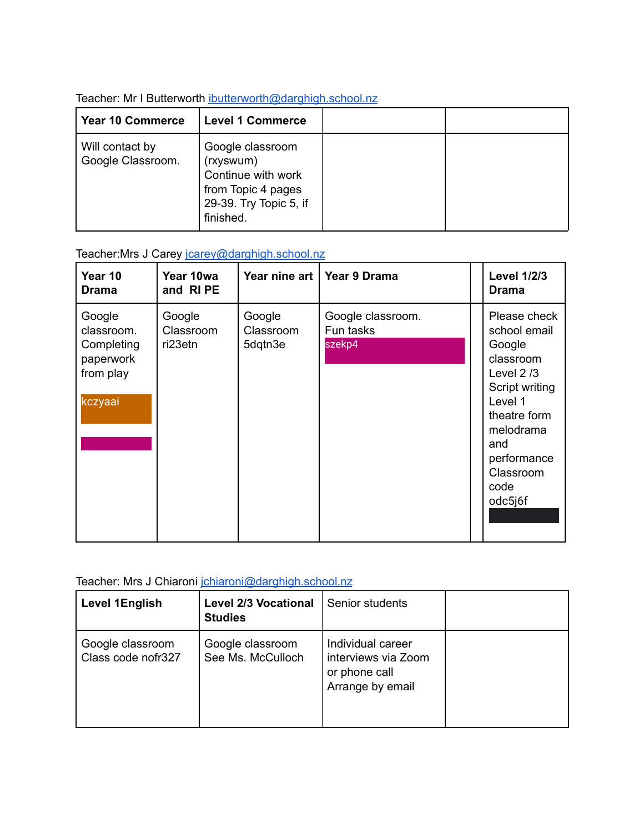| <b>Year 10 Commerce</b>              | <b>Level 1 Commerce</b>                                                                                          |  |
|--------------------------------------|------------------------------------------------------------------------------------------------------------------|--|
| Will contact by<br>Google Classroom. | Google classroom<br>(rxyswum)<br>Continue with work<br>from Topic 4 pages<br>29-39. Try Topic 5, if<br>finished. |  |

### Teacher: Mr I Butterworth [ibutterworth@darghigh.school.nz](mailto:ibutterworth@darghigh.school.nz)

### Teacher: Mrs J Carey journey @darghigh.school.nz

| Year 10<br><b>Drama</b>                                                 | Year 10wa<br>and RIPE          | Year nine art                  | Year 9 Drama                             | <b>Level 1/2/3</b><br><b>Drama</b>                                                                                                                                                 |
|-------------------------------------------------------------------------|--------------------------------|--------------------------------|------------------------------------------|------------------------------------------------------------------------------------------------------------------------------------------------------------------------------------|
| Google<br>classroom.<br>Completing<br>paperwork<br>from play<br>kczyaai | Google<br>Classroom<br>ri23etn | Google<br>Classroom<br>5dqtn3e | Google classroom.<br>Fun tasks<br>szekp4 | Please check<br>school email<br>Google<br>classroom<br>Level $2/3$<br>Script writing<br>Level 1<br>theatre form<br>melodrama<br>and<br>performance<br>Classroom<br>code<br>odc5j6f |

# Teacher: Mrs J Chiaroni [jchiaroni@darghigh.school.nz](mailto:jchiaroni@darghigh.school.nz)

| <b>Level 1English</b>                  | <b>Level 2/3 Vocational</b><br><b>Studies</b> | Senior students                                                               |  |
|----------------------------------------|-----------------------------------------------|-------------------------------------------------------------------------------|--|
| Google classroom<br>Class code nofr327 | Google classroom<br>See Ms. McCulloch         | Individual career<br>interviews via Zoom<br>or phone call<br>Arrange by email |  |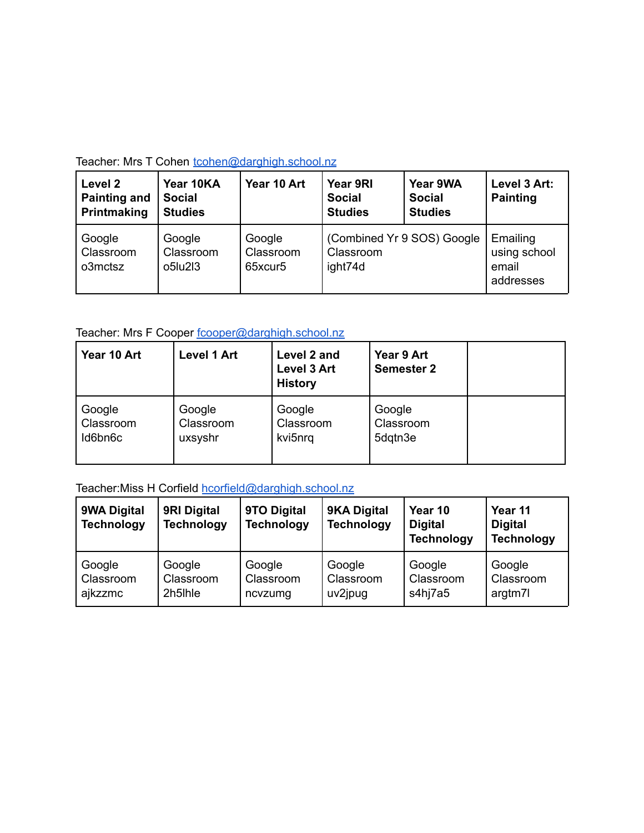| Teacher: Mrs T Cohen toohen@darghigh.school.nz |
|------------------------------------------------|
|                                                |

| Level 2<br><b>Painting and</b><br>Printmaking | Year 10KA<br><b>Social</b><br><b>Studies</b> | Year 10 Art                    | Year 9RI<br><b>Social</b><br><b>Studies</b> | Year 9WA<br><b>Social</b><br><b>Studies</b> | Level 3 Art:<br><b>Painting</b>                |
|-----------------------------------------------|----------------------------------------------|--------------------------------|---------------------------------------------|---------------------------------------------|------------------------------------------------|
| Google<br>Classroom<br>o3mctsz                | Google<br>Classroom<br>o5lu2l3               | Google<br>Classroom<br>65xcur5 | Classroom<br>ight74d                        | (Combined Yr 9 SOS) Google                  | Emailing<br>using school<br>email<br>addresses |

# Teacher: Mrs F Cooper [fcooper@darghigh.school.nz](mailto:fcooper@darghigh.school.nz)

| Year 10 Art | <b>Level 1 Art</b> | Level 2 and<br><b>Level 3 Art</b><br><b>History</b> | Year 9 Art<br><b>Semester 2</b> |  |
|-------------|--------------------|-----------------------------------------------------|---------------------------------|--|
| Google      | Google             | Google                                              | Google                          |  |
| Classroom   | Classroom          | Classroom                                           | Classroom                       |  |
| Id6bn6c     | uxsyshr            | kvi5nrq                                             | 5dqtn3e                         |  |

# Teacher: Miss H Corfield [hcorfield@darghigh.school.nz](mailto:hcorfield@darghigh.school.nz)

| 9WA Digital<br><b>Technology</b> | 9RI Digital<br><b>Technology</b> | 9TO Digital<br><b>Technology</b> | 9KA Digital<br><b>Technology</b> | Year 10<br><b>Digital</b><br><b>Technology</b> | Year 11<br><b>Digital</b><br><b>Technology</b> |
|----------------------------------|----------------------------------|----------------------------------|----------------------------------|------------------------------------------------|------------------------------------------------|
| Google                           | Google                           | Google                           | Google                           | Google                                         | Google                                         |
| Classroom                        | Classroom                        | Classroom                        | Classroom                        | Classroom                                      | Classroom                                      |
| ajkzzmc                          | 2h5lhle                          | ncvzumg                          | uv2jpug                          | s4hj7a5                                        | argtm7l                                        |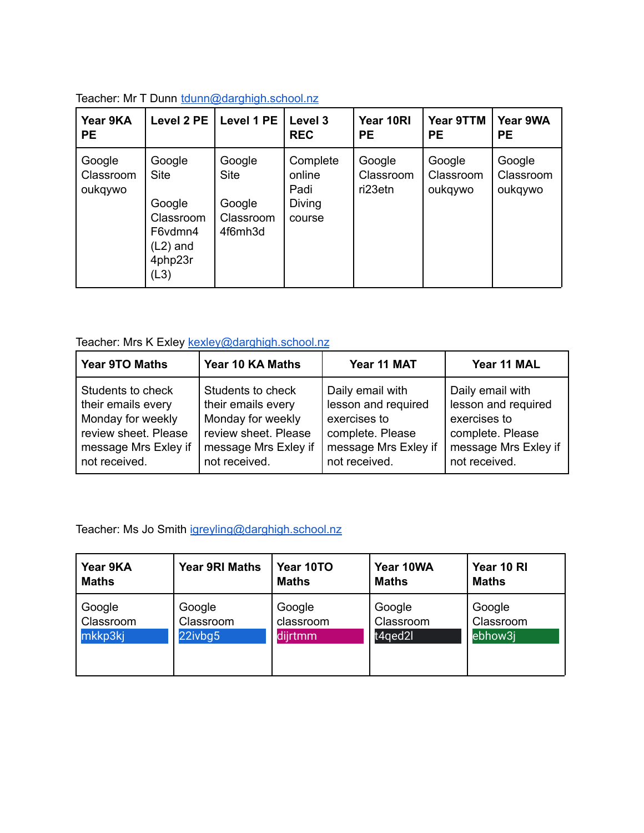| Year 9KA<br><b>PE</b>          | Level 2 PE                                                                               | Level 1 PE                                              | Level 3<br><b>REC</b>                          | Year 10RI<br><b>PE</b>         | Year 9TTM<br><b>PE</b>         | Year 9WA<br><b>PE</b>          |
|--------------------------------|------------------------------------------------------------------------------------------|---------------------------------------------------------|------------------------------------------------|--------------------------------|--------------------------------|--------------------------------|
| Google<br>Classroom<br>oukqywo | Google<br><b>Site</b><br>Google<br>Classroom<br>F6vdmn4<br>$(L2)$ and<br>4php23r<br>(L3) | Google<br><b>Site</b><br>Google<br>Classroom<br>4f6mh3d | Complete<br>online<br>Padi<br>Diving<br>course | Google<br>Classroom<br>ri23etn | Google<br>Classroom<br>oukqywo | Google<br>Classroom<br>oukqywo |

|  | Teacher: Mr T Dunn tdunn@darghigh.school.nz |
|--|---------------------------------------------|
|--|---------------------------------------------|

# Teacher: Mrs K Exley **[kexley@darghigh.school.nz](mailto:kexley@darghigh.school.nz)**

| <b>Year 9TO Maths</b> | Year 10 KA Maths     | Year 11 MAT          | Year 11 MAL          |
|-----------------------|----------------------|----------------------|----------------------|
| Students to check     | Students to check    | Daily email with     | Daily email with     |
| their emails every    | their emails every   | lesson and required  | lesson and required  |
| Monday for weekly     | Monday for weekly    | exercises to         | exercises to         |
| review sheet. Please  | review sheet. Please | complete. Please     | complete. Please     |
| message Mrs Exley if  | message Mrs Exley if | message Mrs Exley if | message Mrs Exley if |
| not received.         | not received.        | not received.        | not received.        |

Teacher: Ms Jo Smith [igreyling@darghigh.school.nz](mailto:igreyling@darghigh.school.nz)

| Year 9KA     | <b>Year 9RI Maths</b> | Year 10TO    | Year 10WA    | Year 10 RI   |
|--------------|-----------------------|--------------|--------------|--------------|
| <b>Maths</b> |                       | <b>Maths</b> | <b>Maths</b> | <b>Maths</b> |
| Google       | Google                | Google       | Google       | Google       |
| Classroom    | Classroom             | classroom    | Classroom    | Classroom    |
| mkkp3kj      | 22ivbg5               | dijrtmm      | t4qed2l      | ebhow3j      |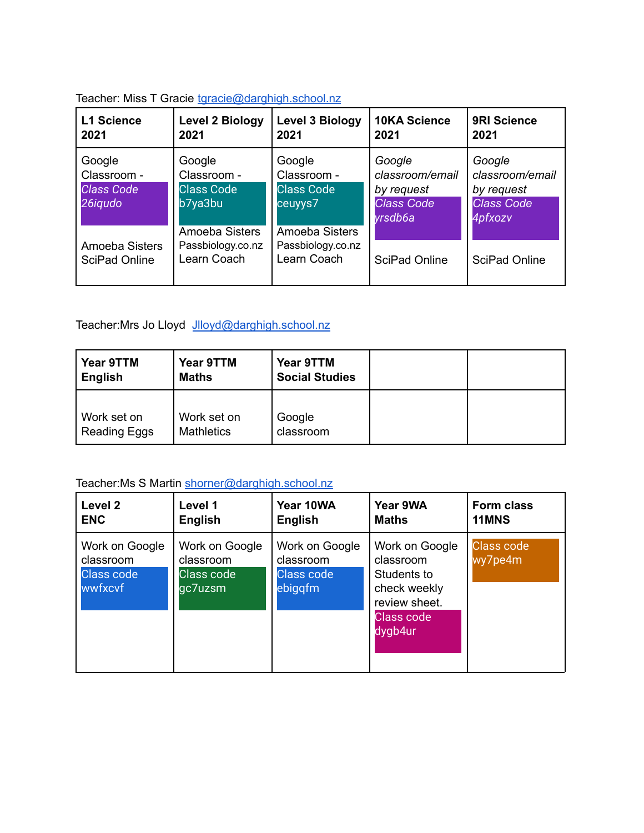| <b>L1 Science</b><br>2021                             | <b>Level 2 Biology</b><br>2021                                          | <b>Level 3 Biology</b><br>2021                                          | <b>10KA Science</b><br>2021                                             | <b>9RI Science</b><br>2021                                              |
|-------------------------------------------------------|-------------------------------------------------------------------------|-------------------------------------------------------------------------|-------------------------------------------------------------------------|-------------------------------------------------------------------------|
| Google<br>Classroom -<br><b>Class Code</b><br>26iqudo | Google<br>Classroom -<br><b>Class Code</b><br>b7ya3bu<br>Amoeba Sisters | Google<br>Classroom -<br><b>Class Code</b><br>ceuyys7<br>Amoeba Sisters | Google<br>classroom/email<br>by request<br><b>Class Code</b><br>vrsdb6a | Google<br>classroom/email<br>by request<br><b>Class Code</b><br>4pfxozv |
| Amoeba Sisters<br>SciPad Online                       | Passbiology.co.nz<br>Learn Coach                                        | Passbiology.co.nz<br>Learn Coach                                        | SciPad Online                                                           | SciPad Online                                                           |

#### Teacher: Miss T Gracie [tgracie@darghigh.school.nz](mailto:tgracie@darghigh.school.nz)

Teacher: Mrs Jo Lloyd [Jlloyd@darghigh.school.nz](mailto:Jlloyd@darghigh.school.nz)

| Year 9TTM<br><b>English</b>        | Year 9TTM<br><b>Maths</b>        | Year 9TTM<br><b>Social Studies</b> |  |
|------------------------------------|----------------------------------|------------------------------------|--|
| Work set on<br><b>Reading Eggs</b> | Work set on<br><b>Mathletics</b> | Google<br>classroom                |  |

# Teacher: Ms S Martin [shorner@darghigh.school.nz](mailto:shorner@darghigh.school.nz)

| Level 2                                                     | Level 1                                              | Year 10WA                                                   | Year 9WA                                                                                                    | <b>Form class</b>            |
|-------------------------------------------------------------|------------------------------------------------------|-------------------------------------------------------------|-------------------------------------------------------------------------------------------------------------|------------------------------|
| <b>ENC</b>                                                  | English                                              | English                                                     | Maths                                                                                                       | 11MNS                        |
| Work on Google<br>classroom<br><b>Class code</b><br>wwfxcvf | Work on Google<br>classroom<br>Class code<br>gc7uzsm | Work on Google<br>classroom<br><b>Class code</b><br>ebiggfm | Work on Google<br>classroom<br>Students to<br>check weekly<br>review sheet.<br><b>Class code</b><br>dygb4ur | <b>Class code</b><br>wy7pe4m |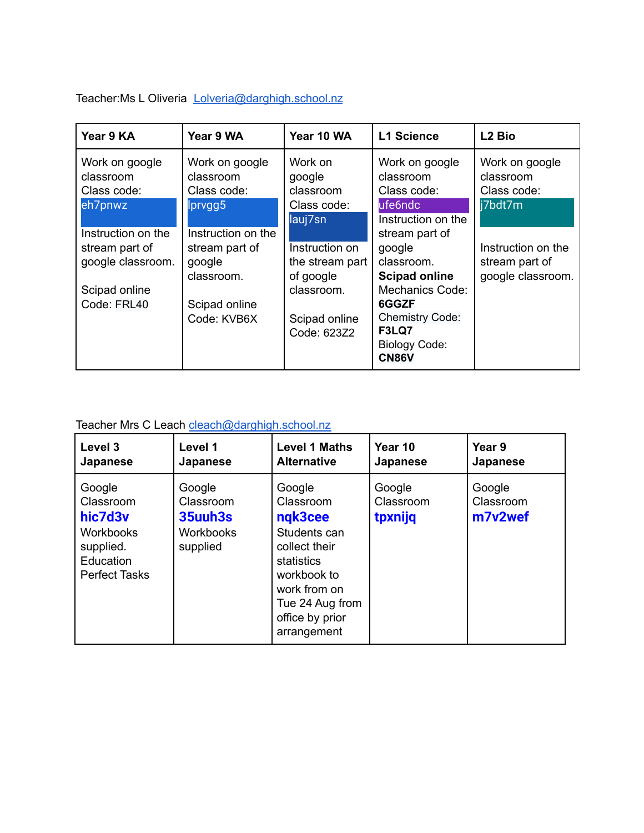Teacher: Ms L Oliveria [Lolveria@darghigh.school.nz](mailto:Lolveria@darghigh.school.nz)

| Year 9 KA          | Year 9 WA          | Year 10 WA      | <b>L1 Science</b>      | L <sub>2</sub> Bio |
|--------------------|--------------------|-----------------|------------------------|--------------------|
| Work on google     | Work on google     | Work on         | Work on google         | Work on google     |
| classroom          | classroom          | google          | classroom              | classroom          |
| Class code:        | Class code:        | classroom       | Class code:            | Class code:        |
| eh7pnwz            | lprvgg5            | Class code:     | ufe6ndc                | i7bdt7m            |
|                    |                    | lauj7sn         | Instruction on the     |                    |
| Instruction on the | Instruction on the |                 | stream part of         |                    |
| stream part of     | stream part of     | Instruction on  | google                 | Instruction on the |
| google classroom.  | google             | the stream part | classroom.             | stream part of     |
|                    | classroom.         | of google       | <b>Scipad online</b>   | google classroom.  |
| Scipad online      |                    | classroom.      | Mechanics Code:        |                    |
| Code: FRL40        | Scipad online      |                 | 6GGZF                  |                    |
|                    | Code: KVB6X        | Scipad online   | <b>Chemistry Code:</b> |                    |
|                    |                    | Code: 623Z2     | F3LQ7                  |                    |
|                    |                    |                 | <b>Biology Code:</b>   |                    |
|                    |                    |                 | <b>CN86V</b>           |                    |

# Teacher Mrs C Leach [cleach@darghigh.school.nz](mailto:cleach@darghigh.school.nz)

| Level 3                                                                                       | Level 1                                                 | <b>Level 1 Maths</b>                                                                                                                                              | Year 10                        | Year 9                         |
|-----------------------------------------------------------------------------------------------|---------------------------------------------------------|-------------------------------------------------------------------------------------------------------------------------------------------------------------------|--------------------------------|--------------------------------|
| Japanese                                                                                      | Japanese                                                | <b>Alternative</b>                                                                                                                                                | Japanese                       | Japanese                       |
| Google<br>Classroom<br>hic7d3v<br>Workbooks<br>supplied.<br>Education<br><b>Perfect Tasks</b> | Google<br>Classroom<br>35uuh3s<br>Workbooks<br>supplied | Google<br>Classroom<br>ngk3cee<br>Students can<br>collect their<br>statistics<br>workbook to<br>work from on<br>Tue 24 Aug from<br>office by prior<br>arrangement | Google<br>Classroom<br>tpxnijq | Google<br>Classroom<br>m7v2wef |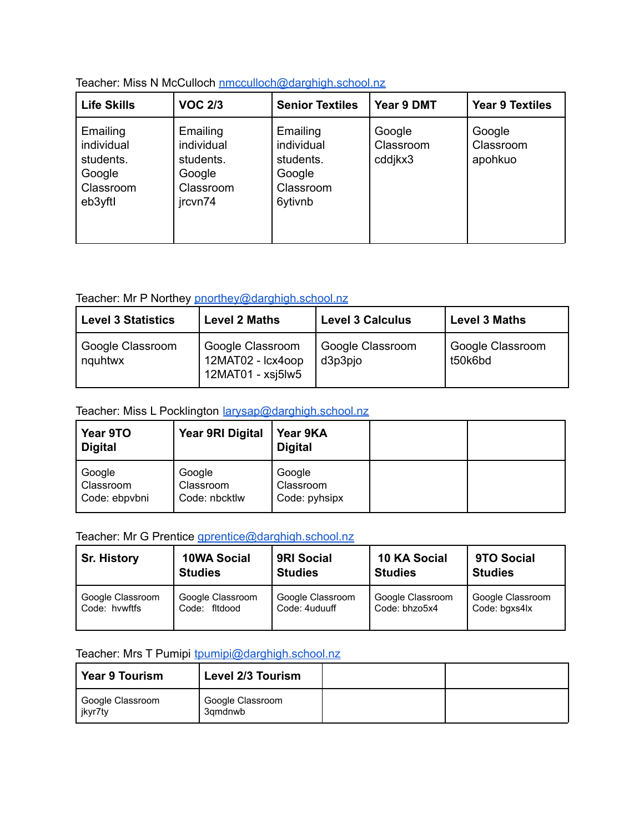| <b>Life Skills</b>                                                    | <b>VOC 2/3</b>                                                        | <b>Senior Textiles</b>                                                | Year 9 DMT                     | <b>Year 9 Textiles</b>         |
|-----------------------------------------------------------------------|-----------------------------------------------------------------------|-----------------------------------------------------------------------|--------------------------------|--------------------------------|
| Emailing<br>individual<br>students.<br>Google<br>Classroom<br>eb3yftl | Emailing<br>individual<br>students.<br>Google<br>Classroom<br>jrcvn74 | Emailing<br>individual<br>students.<br>Google<br>Classroom<br>6ytivnb | Google<br>Classroom<br>cddjkx3 | Google<br>Classroom<br>apohkuo |

Teacher: Miss N McCulloch [nmcculloch@darghigh.school.nz](mailto:nmcculloch@darghigh.school.nz)

### Teacher: Mr P Northey [pnorthey@darghigh.school.nz](mailto:pnorthey@darghigh.school.nz)

| <b>Level 3 Statistics</b>   | <b>Level 2 Maths</b>                                          | <b>Level 3 Calculus</b>     | <b>Level 3 Maths</b>        |
|-----------------------------|---------------------------------------------------------------|-----------------------------|-----------------------------|
| Google Classroom<br>nguhtwx | Google Classroom<br>12MAT02 - Icx4oop<br>$12$ MAT01 - xsj5lw5 | Google Classroom<br>d3p3pjo | Google Classroom<br>t50k6bd |

### Teacher: Miss L Pocklington [larysap@darghigh.school.nz](mailto:larysap@darghigh.school.nz)

| Year 9TO<br><b>Digital</b>           | <b>Year 9RI Digital</b>              | Year 9KA<br><b>Digital</b>           |  |
|--------------------------------------|--------------------------------------|--------------------------------------|--|
| Google<br>Classroom<br>Code: ebpvbni | Google<br>Classroom<br>Code: nbcktlw | Google<br>Classroom<br>Code: pyhsipx |  |

## Teacher: Mr G Prentice [gprentice@darghigh.school.nz](mailto:gprentice@darghigh.school.nz)

| <b>Sr. History</b> | <b>10WA Social</b> | <b>9RI Social</b> | 10 KA Social     | 9TO Social       |
|--------------------|--------------------|-------------------|------------------|------------------|
|                    | <b>Studies</b>     | <b>Studies</b>    | <b>Studies</b>   | <b>Studies</b>   |
| Google Classroom   | Google Classroom   | Google Classroom  | Google Classroom | Google Classroom |
| Code: hywftfs      | Code: fitdood      | Code: 4uduuff     | Code: bhzo5x4    | Code: bgxs4lx    |

### Teacher: Mrs T Pumipi [tpumipi@darghigh.school.nz](mailto:tpumipi@darghigh.school.nz)

| <b>Year 9 Tourism</b>                    | <b>Level 2/3 Tourism</b>    |  |
|------------------------------------------|-----------------------------|--|
| <sup>I</sup> Google Classroom<br>jkyr7ty | Google Classroom<br>3amdnwb |  |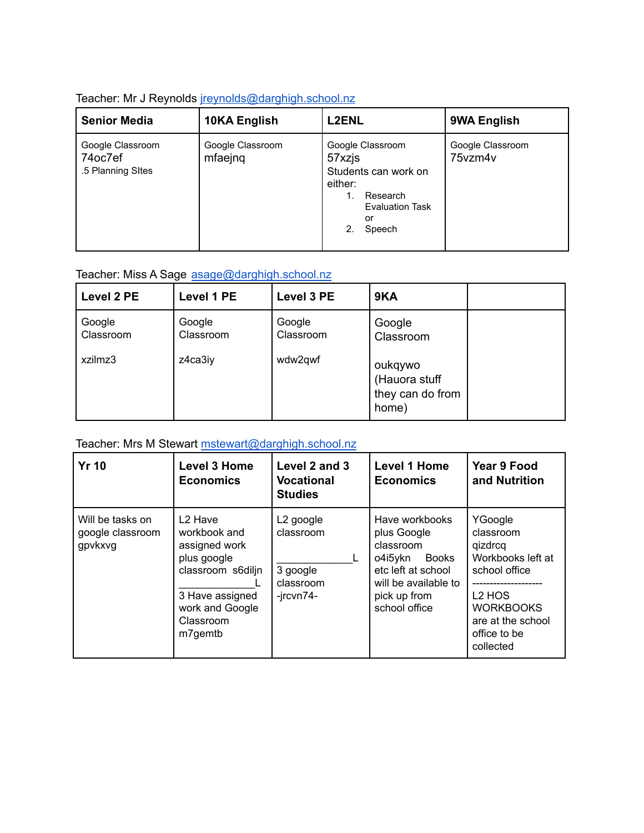### Teacher: Mr J Reynolds [jreynolds@darghigh.school.nz](mailto:jreynolds@darghigh.school.nz)

| <b>Senior Media</b>                              | 10KA English                | <b>L2ENL</b>                                                                                                              | 9WA English                 |
|--------------------------------------------------|-----------------------------|---------------------------------------------------------------------------------------------------------------------------|-----------------------------|
| Google Classroom<br>74oc7ef<br>.5 Planning SItes | Google Classroom<br>mfaejng | Google Classroom<br>57xzjs<br>Students can work on<br>either:<br>Research<br><b>Evaluation Task</b><br>or<br>2.<br>Speech | Google Classroom<br>75vzm4v |

# Teacher: Miss A Sage [asage@darghigh.school.nz](mailto:asage@darghigh.school.nz)

| Level 2 PE                     | Level 1 PE                     | Level 3 PE                     | 9KA                                                                          |  |
|--------------------------------|--------------------------------|--------------------------------|------------------------------------------------------------------------------|--|
| Google<br>Classroom<br>xzilmz3 | Google<br>Classroom<br>z4ca3iy | Google<br>Classroom<br>wdw2qwf | Google<br>Classroom<br>oukqywo<br>(Hauora stuff<br>they can do from<br>home) |  |

### Teacher: Mrs M Stewart [mstewart@darghigh.school.nz](mailto:mstewart@darghigh.school.nz)

| <b>Yr 10</b>                                    | <b>Level 3 Home</b><br><b>Economics</b>                                                                                                                | Level 2 and 3<br><b>Vocational</b><br><b>Studies</b>                     | Level 1 Home<br><b>Economics</b>                                                                                                              | Year 9 Food<br>and Nutrition                                                                                                                                      |
|-------------------------------------------------|--------------------------------------------------------------------------------------------------------------------------------------------------------|--------------------------------------------------------------------------|-----------------------------------------------------------------------------------------------------------------------------------------------|-------------------------------------------------------------------------------------------------------------------------------------------------------------------|
| Will be tasks on<br>google classroom<br>gpvkxvg | L <sub>2</sub> Have<br>workbook and<br>assigned work<br>plus google<br>classroom s6diljn<br>3 Have assigned<br>work and Google<br>Classroom<br>m7gemtb | L <sub>2</sub> google<br>classroom<br>3 google<br>classroom<br>-jrcvn74- | Have workbooks<br>plus Google<br>classroom<br>o4i5ykn<br>Books<br>etc left at school<br>will be available to<br>pick up from<br>school office | YGoogle<br>classroom<br>qizdrcq<br>Workbooks left at<br>school office<br>L <sub>2</sub> HOS<br><b>WORKBOOKS</b><br>are at the school<br>office to be<br>collected |